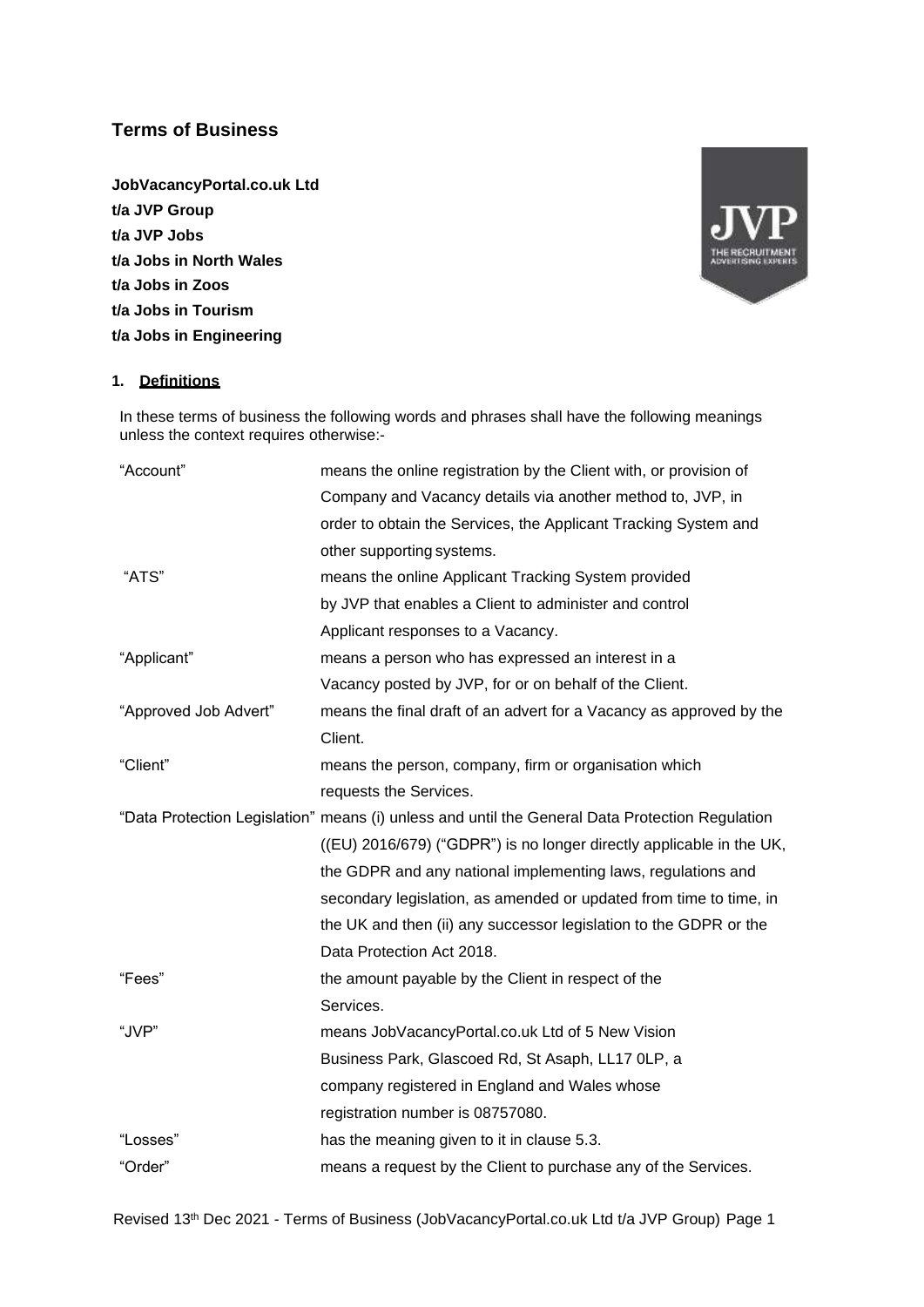# **Terms of Business**

**JobVacancyPortal.co.uk Ltd t/a JVP Group t/a JVP Jobs t/a Jobs in North Wales t/a Jobs in Zoos t/a Jobs in Tourism t/a Jobs in Engineering**



## **1. Definitions**

In these terms of business the following words and phrases shall have the following meanings unless the context requires otherwise:-

| "Account"             | means the online registration by the Client with, or provision of                               |  |
|-----------------------|-------------------------------------------------------------------------------------------------|--|
|                       | Company and Vacancy details via another method to, JVP, in                                      |  |
|                       | order to obtain the Services, the Applicant Tracking System and                                 |  |
|                       | other supporting systems.                                                                       |  |
| "ATS"                 | means the online Applicant Tracking System provided                                             |  |
|                       | by JVP that enables a Client to administer and control                                          |  |
|                       | Applicant responses to a Vacancy.                                                               |  |
| "Applicant"           | means a person who has expressed an interest in a                                               |  |
|                       | Vacancy posted by JVP, for or on behalf of the Client.                                          |  |
| "Approved Job Advert" | means the final draft of an advert for a Vacancy as approved by the                             |  |
|                       | Client.                                                                                         |  |
| "Client"              | means the person, company, firm or organisation which                                           |  |
|                       | requests the Services.                                                                          |  |
|                       | "Data Protection Legislation" means (i) unless and until the General Data Protection Regulation |  |
|                       | ((EU) 2016/679) ("GDPR") is no longer directly applicable in the UK,                            |  |
|                       | the GDPR and any national implementing laws, regulations and                                    |  |
|                       | secondary legislation, as amended or updated from time to time, in                              |  |
|                       | the UK and then (ii) any successor legislation to the GDPR or the                               |  |
|                       | Data Protection Act 2018.                                                                       |  |
| "Fees"                | the amount payable by the Client in respect of the                                              |  |
|                       | Services.                                                                                       |  |
| "JVP"                 | means JobVacancyPortal.co.uk Ltd of 5 New Vision                                                |  |
|                       | Business Park, Glascoed Rd, St Asaph, LL17 0LP, a                                               |  |
|                       | company registered in England and Wales whose                                                   |  |
|                       | registration number is 08757080.                                                                |  |
| "Losses"              | has the meaning given to it in clause 5.3.                                                      |  |
| "Order"               | means a request by the Client to purchase any of the Services.                                  |  |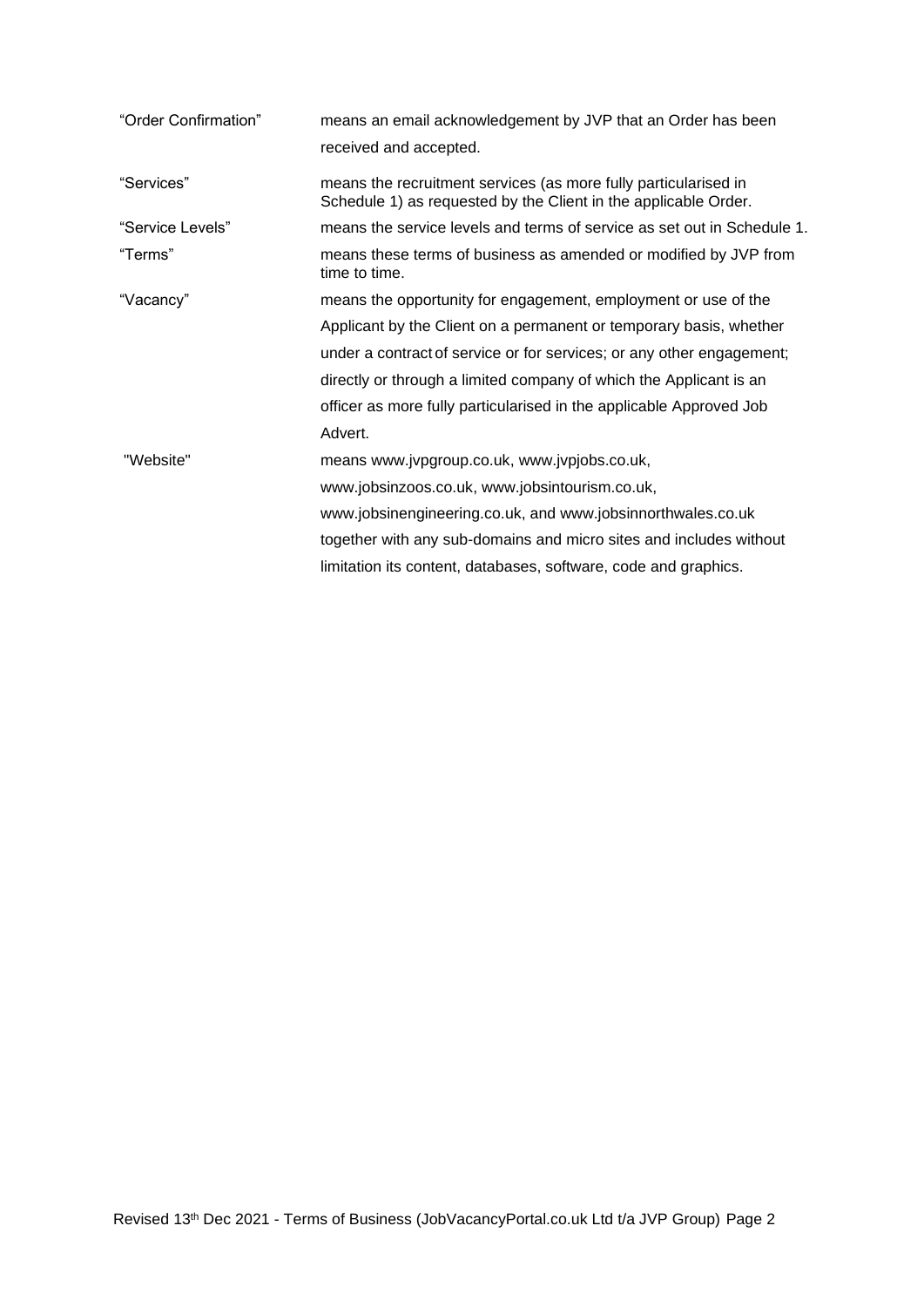| "Order Confirmation" | means an email acknowledgement by JVP that an Order has been<br>received and accepted.                                             |  |
|----------------------|------------------------------------------------------------------------------------------------------------------------------------|--|
| "Services"           | means the recruitment services (as more fully particularised in<br>Schedule 1) as requested by the Client in the applicable Order. |  |
| "Service Levels"     | means the service levels and terms of service as set out in Schedule 1.                                                            |  |
| "Terms"              | means these terms of business as amended or modified by JVP from<br>time to time.                                                  |  |
| "Vacancy"            | means the opportunity for engagement, employment or use of the                                                                     |  |
|                      | Applicant by the Client on a permanent or temporary basis, whether                                                                 |  |
|                      | under a contract of service or for services; or any other engagement;                                                              |  |
|                      | directly or through a limited company of which the Applicant is an                                                                 |  |
|                      | officer as more fully particularised in the applicable Approved Job                                                                |  |
|                      | Advert.                                                                                                                            |  |
| "Website"            | means www.jvpgroup.co.uk, www.jvpjobs.co.uk,                                                                                       |  |
|                      | www.jobsinzoos.co.uk, www.jobsintourism.co.uk,                                                                                     |  |
|                      | www.jobsinengineering.co.uk, and www.jobsinnorthwales.co.uk                                                                        |  |
|                      | together with any sub-domains and micro sites and includes without                                                                 |  |
|                      | limitation its content, databases, software, code and graphics.                                                                    |  |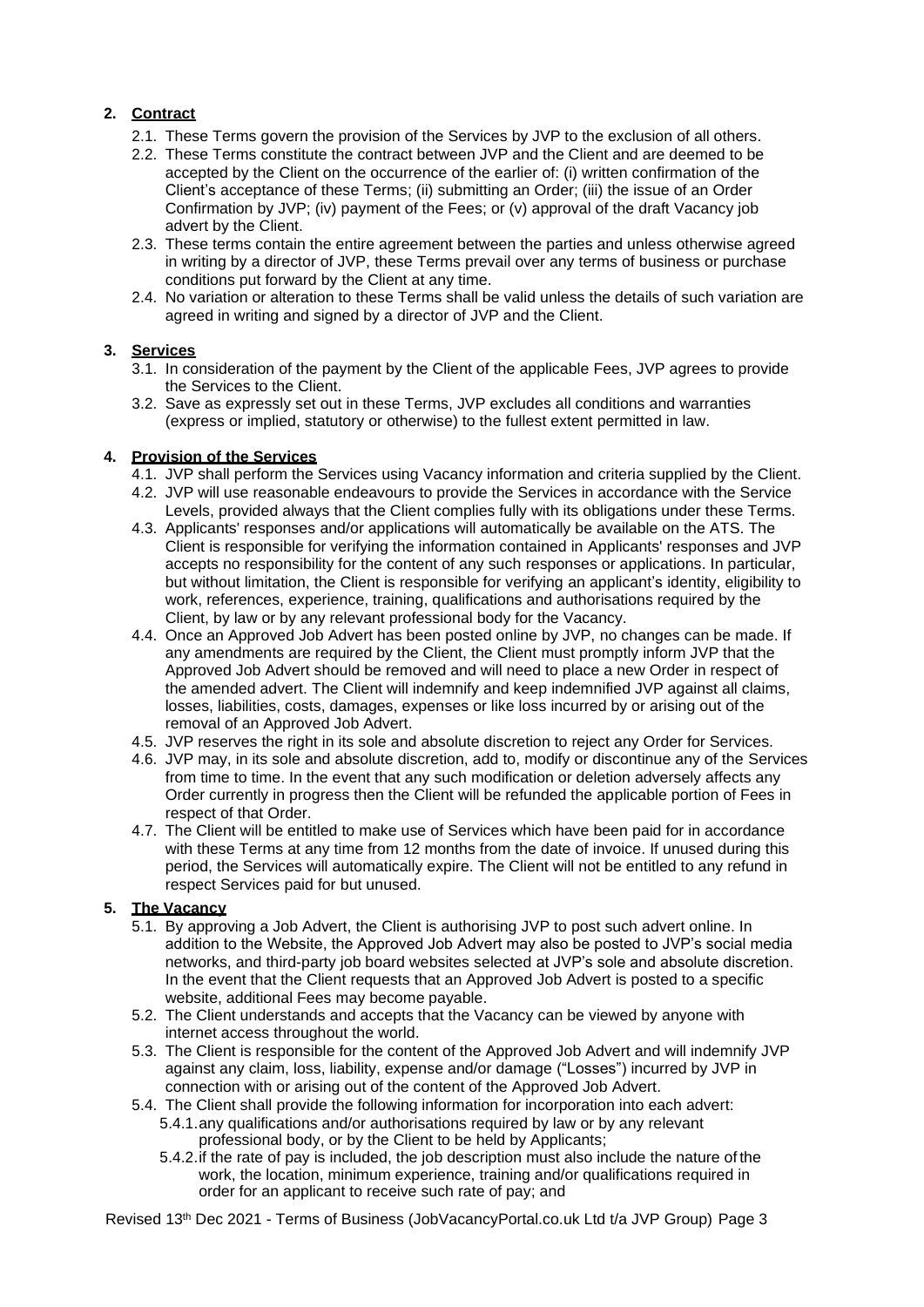# **2. Contract**

- 2.1. These Terms govern the provision of the Services by JVP to the exclusion of all others.
- 2.2. These Terms constitute the contract between JVP and the Client and are deemed to be accepted by the Client on the occurrence of the earlier of: (i) written confirmation of the Client's acceptance of these Terms; (ii) submitting an Order; (iii) the issue of an Order Confirmation by JVP; (iv) payment of the Fees; or (v) approval of the draft Vacancy job advert by the Client.
- 2.3. These terms contain the entire agreement between the parties and unless otherwise agreed in writing by a director of JVP, these Terms prevail over any terms of business or purchase conditions put forward by the Client at any time.
- 2.4. No variation or alteration to these Terms shall be valid unless the details of such variation are agreed in writing and signed by a director of JVP and the Client.

# **3. Services**

- 3.1. In consideration of the payment by the Client of the applicable Fees, JVP agrees to provide the Services to the Client.
- 3.2. Save as expressly set out in these Terms, JVP excludes all conditions and warranties (express or implied, statutory or otherwise) to the fullest extent permitted in law.

# **4. Provision of the Services**

- 4.1. JVP shall perform the Services using Vacancy information and criteria supplied by the Client.
- 4.2. JVP will use reasonable endeavours to provide the Services in accordance with the Service Levels, provided always that the Client complies fully with its obligations under these Terms.
- 4.3. Applicants' responses and/or applications will automatically be available on the ATS. The Client is responsible for verifying the information contained in Applicants' responses and JVP accepts no responsibility for the content of any such responses or applications. In particular, but without limitation, the Client is responsible for verifying an applicant's identity, eligibility to work, references, experience, training, qualifications and authorisations required by the Client, by law or by any relevant professional body for the Vacancy.
- 4.4. Once an Approved Job Advert has been posted online by JVP, no changes can be made. If any amendments are required by the Client, the Client must promptly inform JVP that the Approved Job Advert should be removed and will need to place a new Order in respect of the amended advert. The Client will indemnify and keep indemnified JVP against all claims, losses, liabilities, costs, damages, expenses or like loss incurred by or arising out of the removal of an Approved Job Advert.
- 4.5. JVP reserves the right in its sole and absolute discretion to reject any Order for Services.
- 4.6. JVP may, in its sole and absolute discretion, add to, modify or discontinue any of the Services from time to time. In the event that any such modification or deletion adversely affects any Order currently in progress then the Client will be refunded the applicable portion of Fees in respect of that Order.
- 4.7. The Client will be entitled to make use of Services which have been paid for in accordance with these Terms at any time from 12 months from the date of invoice. If unused during this period, the Services will automatically expire. The Client will not be entitled to any refund in respect Services paid for but unused.

# **5. The Vacancy**

- 5.1. By approving a Job Advert, the Client is authorising JVP to post such advert online. In addition to the Website, the Approved Job Advert may also be posted to JVP's social media networks, and third-party job board websites selected at JVP's sole and absolute discretion. In the event that the Client requests that an Approved Job Advert is posted to a specific website, additional Fees may become payable.
- 5.2. The Client understands and accepts that the Vacancy can be viewed by anyone with internet access throughout the world.
- 5.3. The Client is responsible for the content of the Approved Job Advert and will indemnify JVP against any claim, loss, liability, expense and/or damage ("Losses") incurred by JVP in connection with or arising out of the content of the Approved Job Advert.
- 5.4. The Client shall provide the following information for incorporation into each advert:
	- 5.4.1.any qualifications and/or authorisations required by law or by any relevant professional body, or by the Client to be held by Applicants;
		- 5.4.2.if the rate of pay is included, the job description must also include the nature of the work, the location, minimum experience, training and/or qualifications required in order for an applicant to receive such rate of pay; and

Revised 13th Dec 2021 - Terms of Business (JobVacancyPortal.co.uk Ltd t/a JVP Group) Page 3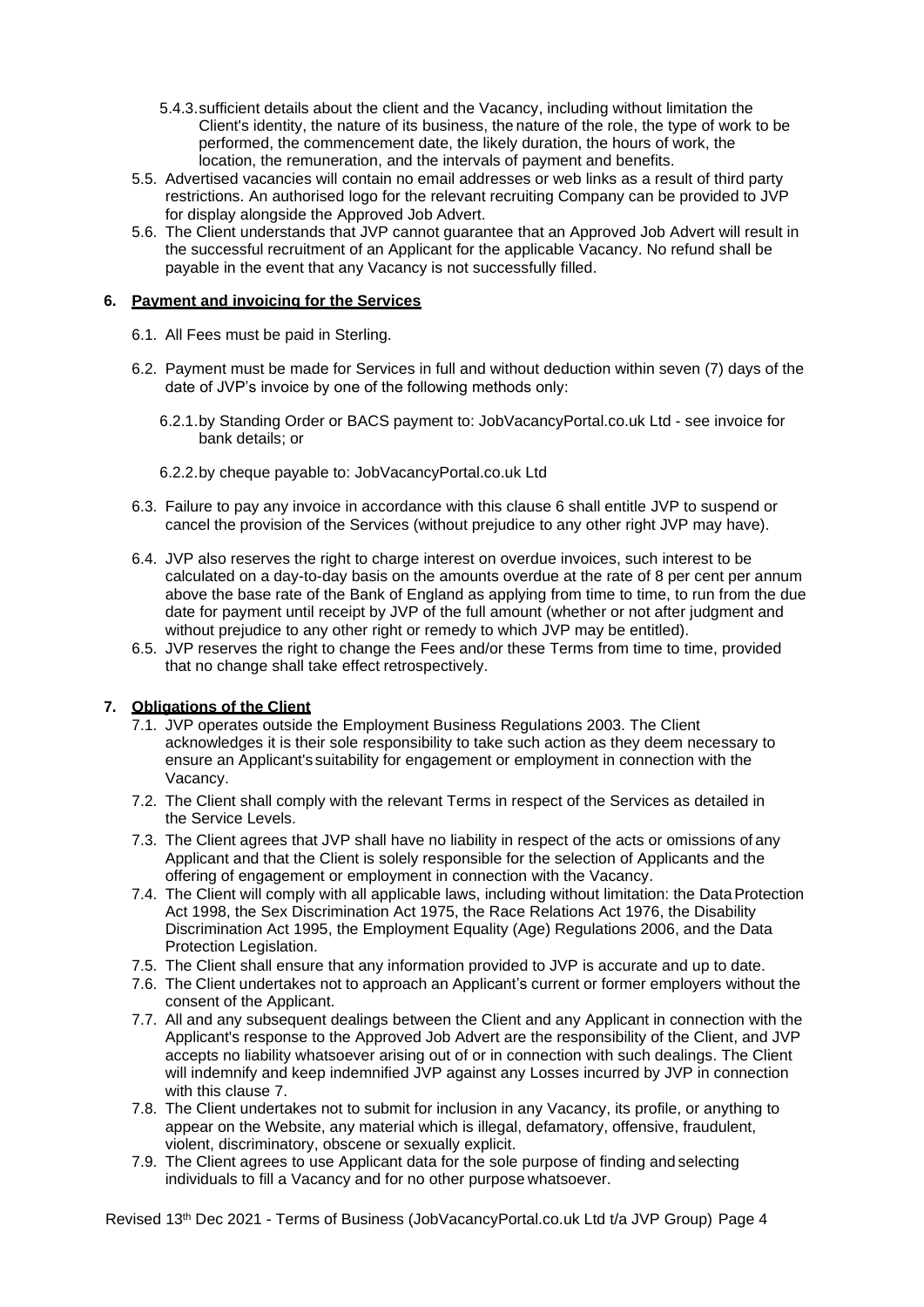- 5.4.3.sufficient details about the client and the Vacancy, including without limitation the Client's identity, the nature of its business, the nature of the role, the type of work to be performed, the commencement date, the likely duration, the hours of work, the location, the remuneration, and the intervals of payment and benefits.
- 5.5. Advertised vacancies will contain no email addresses or web links as a result of third party restrictions. An authorised logo for the relevant recruiting Company can be provided to JVP for display alongside the Approved Job Advert.
- 5.6. The Client understands that JVP cannot guarantee that an Approved Job Advert will result in the successful recruitment of an Applicant for the applicable Vacancy. No refund shall be payable in the event that any Vacancy is not successfully filled.

## **6. Payment and invoicing for the Services**

- 6.1. All Fees must be paid in Sterling.
- 6.2. Payment must be made for Services in full and without deduction within seven (7) days of the date of JVP's invoice by one of the following methods only:
	- 6.2.1.by Standing Order or BACS payment to: JobVacancyPortal.co.uk Ltd see invoice for bank details; or
	- 6.2.2.by cheque payable to: JobVacancyPortal.co.uk Ltd
- 6.3. Failure to pay any invoice in accordance with this clause 6 shall entitle JVP to suspend or cancel the provision of the Services (without prejudice to any other right JVP may have).
- 6.4. JVP also reserves the right to charge interest on overdue invoices, such interest to be calculated on a day-to-day basis on the amounts overdue at the rate of 8 per cent per annum above the base rate of the Bank of England as applying from time to time, to run from the due date for payment until receipt by JVP of the full amount (whether or not after judgment and without prejudice to any other right or remedy to which JVP may be entitled).
- 6.5. JVP reserves the right to change the Fees and/or these Terms from time to time, provided that no change shall take effect retrospectively.

# **7. Obligations of the Client**

- 7.1. JVP operates outside the Employment Business Regulations 2003. The Client acknowledges it is their sole responsibility to take such action as they deem necessary to ensure an Applicant's suitability for engagement or employment in connection with the Vacancy.
- 7.2. The Client shall comply with the relevant Terms in respect of the Services as detailed in the Service Levels.
- 7.3. The Client agrees that JVP shall have no liability in respect of the acts or omissions of any Applicant and that the Client is solely responsible for the selection of Applicants and the offering of engagement or employment in connection with the Vacancy.
- 7.4. The Client will comply with all applicable laws, including without limitation: the DataProtection Act 1998, the Sex Discrimination Act 1975, the Race Relations Act 1976, the Disability Discrimination Act 1995, the Employment Equality (Age) Regulations 2006, and the Data Protection Legislation.
- 7.5. The Client shall ensure that any information provided to JVP is accurate and up to date.
- 7.6. The Client undertakes not to approach an Applicant's current or former employers without the consent of the Applicant.
- 7.7. All and any subsequent dealings between the Client and any Applicant in connection with the Applicant's response to the Approved Job Advert are the responsibility of the Client, and JVP accepts no liability whatsoever arising out of or in connection with such dealings. The Client will indemnify and keep indemnified JVP against any Losses incurred by JVP in connection with this clause 7.
- 7.8. The Client undertakes not to submit for inclusion in any Vacancy, its profile, or anything to appear on the Website, any material which is illegal, defamatory, offensive, fraudulent, violent, discriminatory, obscene or sexually explicit.
- 7.9. The Client agrees to use Applicant data for the sole purpose of finding and selecting individuals to fill a Vacancy and for no other purpose whatsoever.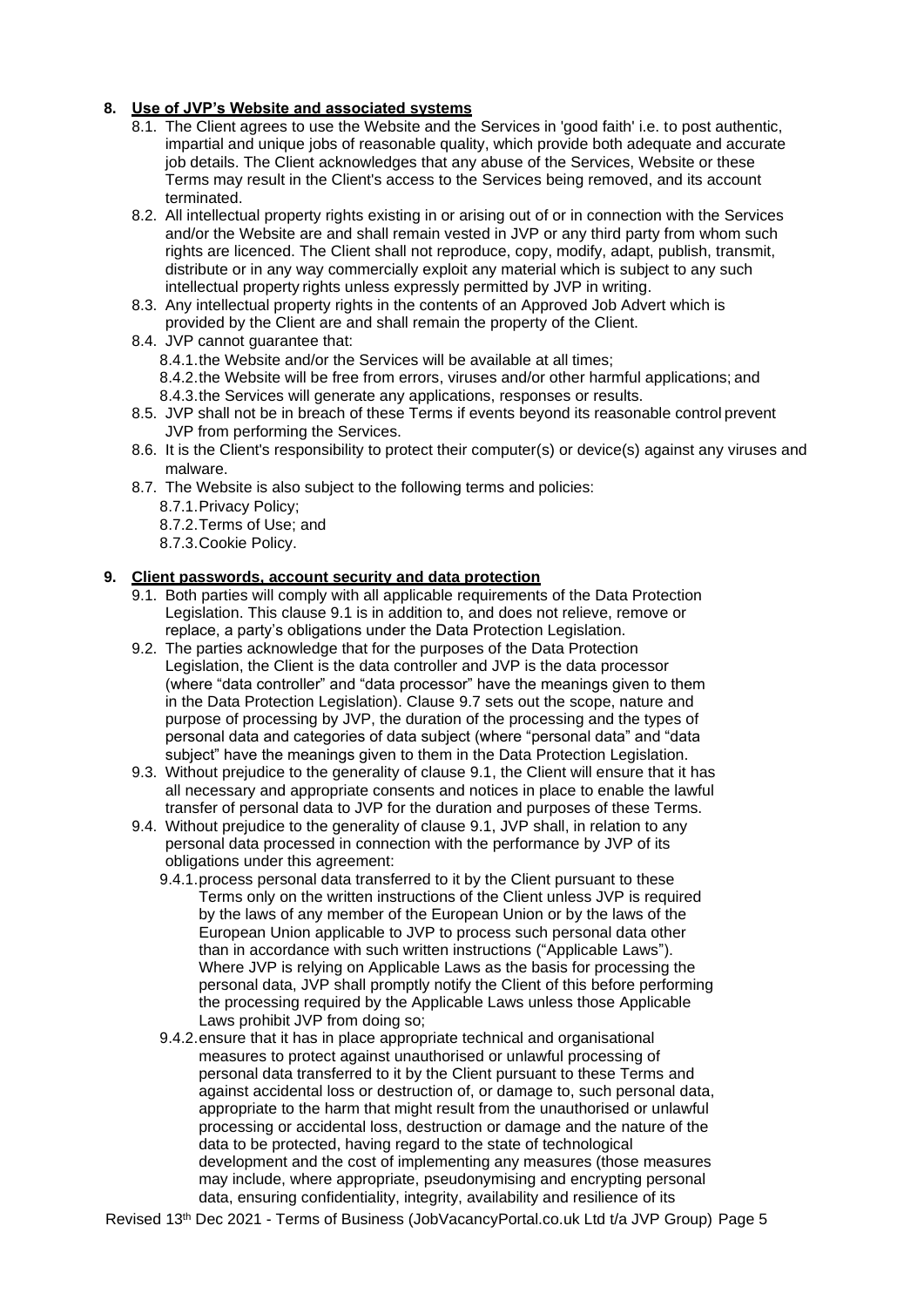## **8. Use of JVP's Website and associated systems**

- 8.1. The Client agrees to use the Website and the Services in 'good faith' i.e. to post authentic, impartial and unique jobs of reasonable quality, which provide both adequate and accurate job details. The Client acknowledges that any abuse of the Services, Website or these Terms may result in the Client's access to the Services being removed, and its account terminated.
- 8.2. All intellectual property rights existing in or arising out of or in connection with the Services and/or the Website are and shall remain vested in JVP or any third party from whom such rights are licenced. The Client shall not reproduce, copy, modify, adapt, publish, transmit, distribute or in any way commercially exploit any material which is subject to any such intellectual property rights unless expressly permitted by JVP in writing.
- 8.3. Any intellectual property rights in the contents of an Approved Job Advert which is provided by the Client are and shall remain the property of the Client.
- 8.4. JVP cannot guarantee that:
	- 8.4.1.the Website and/or the Services will be available at all times;
	- 8.4.2.the Website will be free from errors, viruses and/or other harmful applications; and
	- 8.4.3.the Services will generate any applications, responses or results.
- 8.5. JVP shall not be in breach of these Terms if events beyond its reasonable control prevent JVP from performing the Services.
- 8.6. It is the Client's responsibility to protect their computer(s) or device(s) against any viruses and malware.
- 8.7. The Website is also subject to the following terms and policies:
	- 8.7.1.Privacy Policy;
	- 8.7.2.Terms of Use; and
	- 8.7.3.Cookie Policy.

## **9. Client passwords, account security and data protection**

- 9.1. Both parties will comply with all applicable requirements of the Data Protection Legislation. This clause 9.1 is in addition to, and does not relieve, remove or replace, a party's obligations under the Data Protection Legislation.
- 9.2. The parties acknowledge that for the purposes of the Data Protection Legislation, the Client is the data controller and JVP is the data processor (where "data controller" and "data processor" have the meanings given to them in the Data Protection Legislation). Clause 9.7 sets out the scope, nature and purpose of processing by JVP, the duration of the processing and the types of personal data and categories of data subject (where "personal data" and "data subject" have the meanings given to them in the Data Protection Legislation.
- 9.3. Without prejudice to the generality of clause 9.1, the Client will ensure that it has all necessary and appropriate consents and notices in place to enable the lawful transfer of personal data to JVP for the duration and purposes of these Terms.
- 9.4. Without prejudice to the generality of clause 9.1, JVP shall, in relation to any personal data processed in connection with the performance by JVP of its obligations under this agreement:
	- 9.4.1.process personal data transferred to it by the Client pursuant to these Terms only on the written instructions of the Client unless JVP is required by the laws of any member of the European Union or by the laws of the European Union applicable to JVP to process such personal data other than in accordance with such written instructions ("Applicable Laws"). Where JVP is relying on Applicable Laws as the basis for processing the personal data, JVP shall promptly notify the Client of this before performing the processing required by the Applicable Laws unless those Applicable Laws prohibit JVP from doing so;
	- 9.4.2.ensure that it has in place appropriate technical and organisational measures to protect against unauthorised or unlawful processing of personal data transferred to it by the Client pursuant to these Terms and against accidental loss or destruction of, or damage to, such personal data, appropriate to the harm that might result from the unauthorised or unlawful processing or accidental loss, destruction or damage and the nature of the data to be protected, having regard to the state of technological development and the cost of implementing any measures (those measures may include, where appropriate, pseudonymising and encrypting personal data, ensuring confidentiality, integrity, availability and resilience of its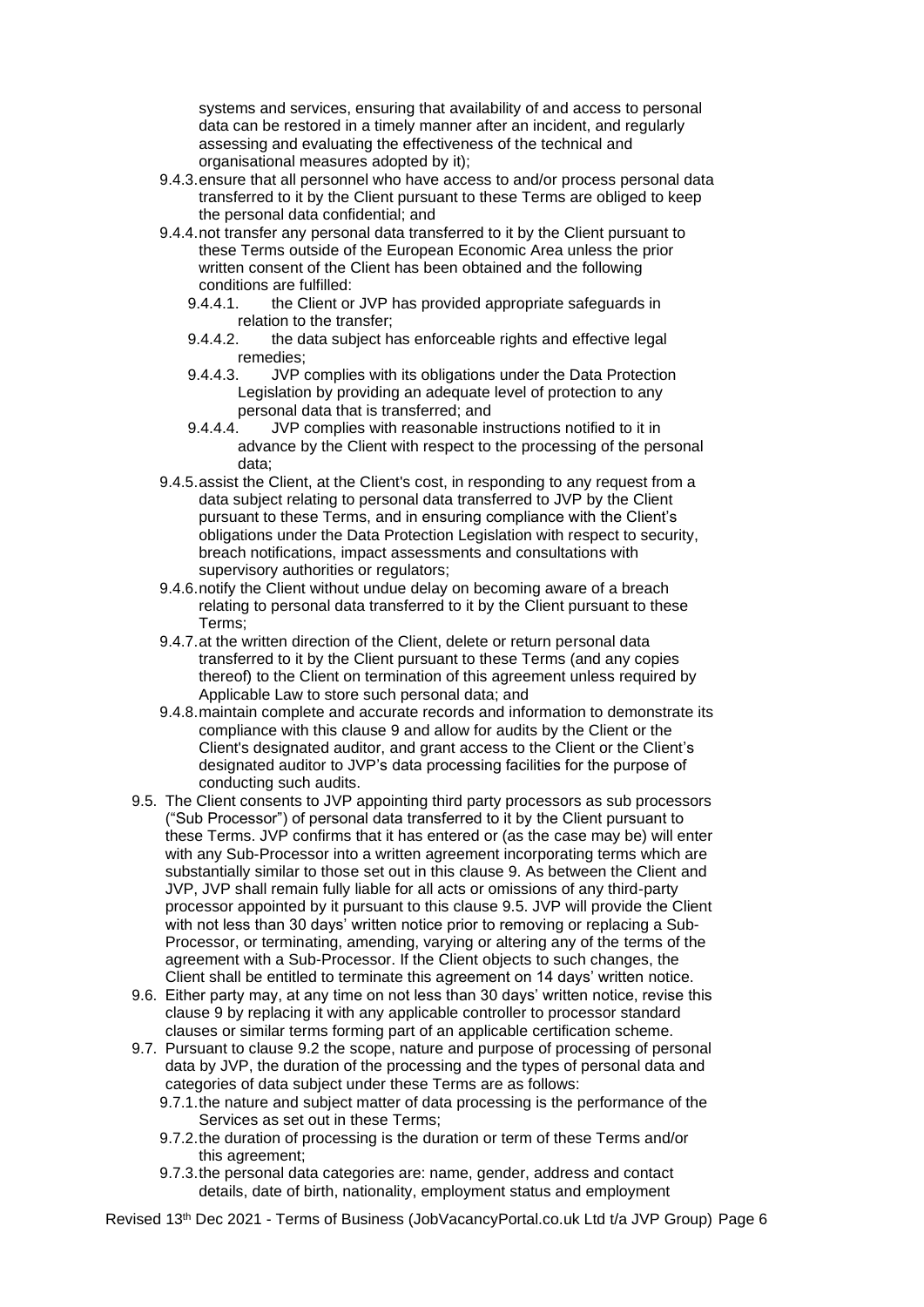systems and services, ensuring that availability of and access to personal data can be restored in a timely manner after an incident, and regularly assessing and evaluating the effectiveness of the technical and organisational measures adopted by it);

- 9.4.3.ensure that all personnel who have access to and/or process personal data transferred to it by the Client pursuant to these Terms are obliged to keep the personal data confidential; and
- 9.4.4.not transfer any personal data transferred to it by the Client pursuant to these Terms outside of the European Economic Area unless the prior written consent of the Client has been obtained and the following conditions are fulfilled:
	- 9.4.4.1. the Client or JVP has provided appropriate safeguards in relation to the transfer;
	- 9.4.4.2. the data subject has enforceable rights and effective legal remedies;
	- 9.4.4.3. JVP complies with its obligations under the Data Protection Legislation by providing an adequate level of protection to any personal data that is transferred; and
	- 9.4.4.4. JVP complies with reasonable instructions notified to it in advance by the Client with respect to the processing of the personal data;
- 9.4.5.assist the Client, at the Client's cost, in responding to any request from a data subject relating to personal data transferred to JVP by the Client pursuant to these Terms, and in ensuring compliance with the Client's obligations under the Data Protection Legislation with respect to security, breach notifications, impact assessments and consultations with supervisory authorities or regulators;
- 9.4.6.notify the Client without undue delay on becoming aware of a breach relating to personal data transferred to it by the Client pursuant to these Terms;
- 9.4.7.at the written direction of the Client, delete or return personal data transferred to it by the Client pursuant to these Terms (and any copies thereof) to the Client on termination of this agreement unless required by Applicable Law to store such personal data; and
- 9.4.8.maintain complete and accurate records and information to demonstrate its compliance with this clause 9 and allow for audits by the Client or the Client's designated auditor, and grant access to the Client or the Client's designated auditor to JVP's data processing facilities for the purpose of conducting such audits.
- 9.5. The Client consents to JVP appointing third party processors as sub processors ("Sub Processor") of personal data transferred to it by the Client pursuant to these Terms. JVP confirms that it has entered or (as the case may be) will enter with any Sub-Processor into a written agreement incorporating terms which are substantially similar to those set out in this clause 9. As between the Client and JVP, JVP shall remain fully liable for all acts or omissions of any third-party processor appointed by it pursuant to this clause 9.5. JVP will provide the Client with not less than 30 days' written notice prior to removing or replacing a Sub-Processor, or terminating, amending, varying or altering any of the terms of the agreement with a Sub-Processor. If the Client objects to such changes, the Client shall be entitled to terminate this agreement on 14 days' written notice.
- 9.6. Either party may, at any time on not less than 30 days' written notice, revise this clause 9 by replacing it with any applicable controller to processor standard clauses or similar terms forming part of an applicable certification scheme.
- 9.7. Pursuant to clause 9.2 the scope, nature and purpose of processing of personal data by JVP, the duration of the processing and the types of personal data and categories of data subject under these Terms are as follows:
	- 9.7.1.the nature and subject matter of data processing is the performance of the Services as set out in these Terms;
	- 9.7.2.the duration of processing is the duration or term of these Terms and/or this agreement;
	- 9.7.3.the personal data categories are: name, gender, address and contact details, date of birth, nationality, employment status and employment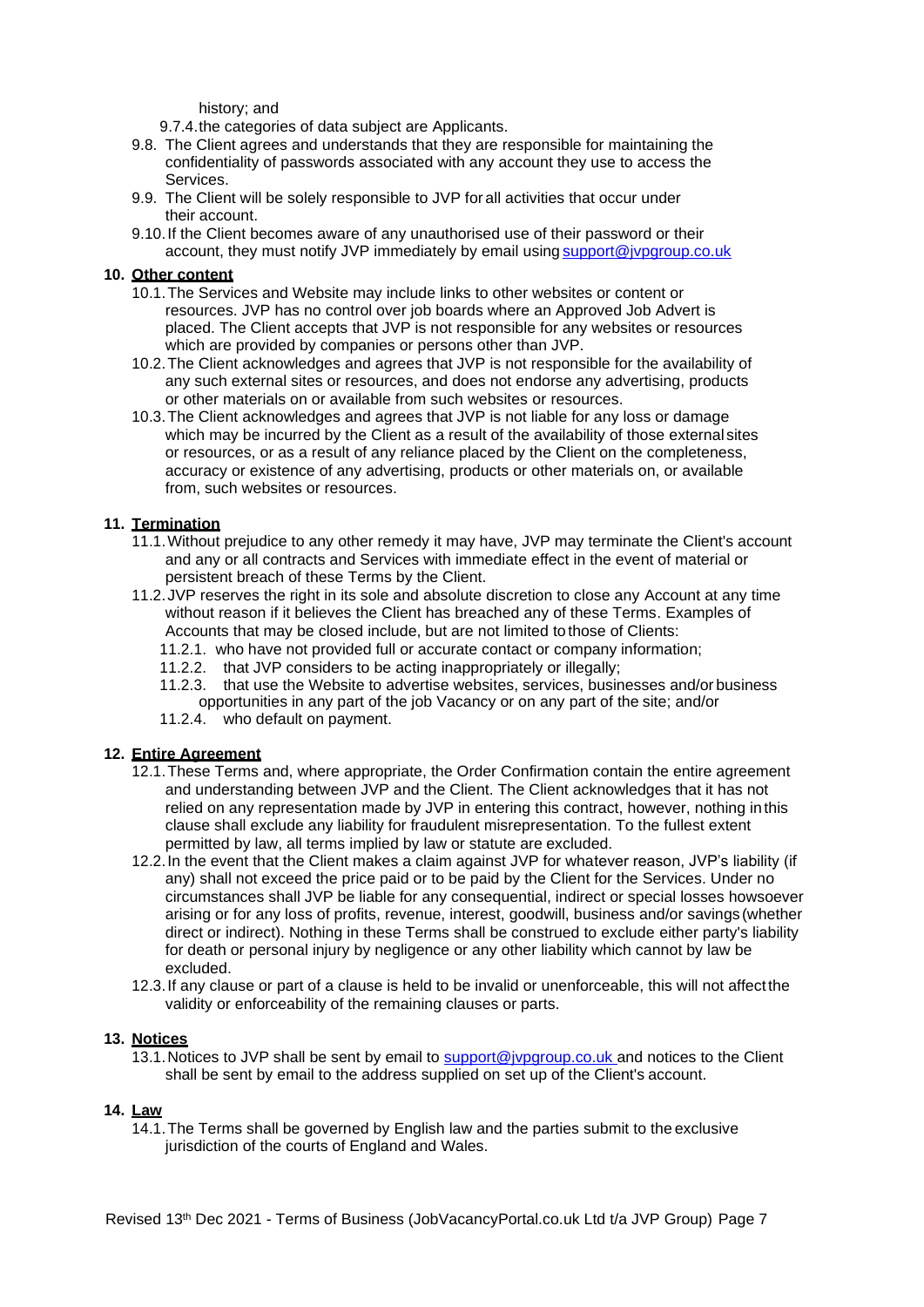history; and

9.7.4.the categories of data subject are Applicants.

- 9.8. The Client agrees and understands that they are responsible for maintaining the confidentiality of passwords associated with any account they use to access the Services.
- 9.9. The Client will be solely responsible to JVP for all activities that occur under their account.
- 9.10.If the Client becomes aware of any unauthorised use of their password or their account, they must notify JVP immediately by email using [support@jvpgroup.co.uk](mailto:support@jvpgroup.co.uk)

## **10. Other content**

- 10.1.The Services and Website may include links to other websites or content or resources. JVP has no control over job boards where an Approved Job Advert is placed. The Client accepts that JVP is not responsible for any websites or resources which are provided by companies or persons other than JVP.
- 10.2.The Client acknowledges and agrees that JVP is not responsible for the availability of any such external sites or resources, and does not endorse any advertising, products or other materials on or available from such websites or resources.
- 10.3.The Client acknowledges and agrees that JVP is not liable for any loss or damage which may be incurred by the Client as a result of the availability of those external sites or resources, or as a result of any reliance placed by the Client on the completeness, accuracy or existence of any advertising, products or other materials on, or available from, such websites or resources.

## **11. Termination**

- 11.1.Without prejudice to any other remedy it may have, JVP may terminate the Client's account and any or all contracts and Services with immediate effect in the event of material or persistent breach of these Terms by the Client.
- 11.2.JVP reserves the right in its sole and absolute discretion to close any Account at any time without reason if it believes the Client has breached any of these Terms. Examples of Accounts that may be closed include, but are not limited to those of Clients:
	- 11.2.1. who have not provided full or accurate contact or company information;
	- 11.2.2. that JVP considers to be acting inappropriately or illegally;
	- 11.2.3. that use the Website to advertise websites, services, businesses and/or business opportunities in any part of the job Vacancy or on any part of the site; and/or
	- 11.2.4. who default on payment.

## **12. Entire Agreement**

- 12.1.These Terms and, where appropriate, the Order Confirmation contain the entire agreement and understanding between JVP and the Client. The Client acknowledges that it has not relied on any representation made by JVP in entering this contract, however, nothing in this clause shall exclude any liability for fraudulent misrepresentation. To the fullest extent permitted by law, all terms implied by law or statute are excluded.
- 12.2.In the event that the Client makes a claim against JVP for whatever reason, JVP's liability (if any) shall not exceed the price paid or to be paid by the Client for the Services. Under no circumstances shall JVP be liable for any consequential, indirect or special losses howsoever arising or for any loss of profits, revenue, interest, goodwill, business and/or savings (whether direct or indirect). Nothing in these Terms shall be construed to exclude either party's liability for death or personal injury by negligence or any other liability which cannot by law be excluded.
- 12.3.If any clause or part of a clause is held to be invalid or unenforceable, this will not affect the validity or enforceability of the remaining clauses or parts.

#### **13. Notices**

13.1. Notices to JVP shall be sent by email to [support@jvpgroup.co.uk a](mailto:support@jvpgroup.co.uk)nd notices to the Client shall be sent by email to the address supplied on set up of the Client's account.

#### **14. Law**

14.1.The Terms shall be governed by English law and the parties submit to the exclusive jurisdiction of the courts of England and Wales.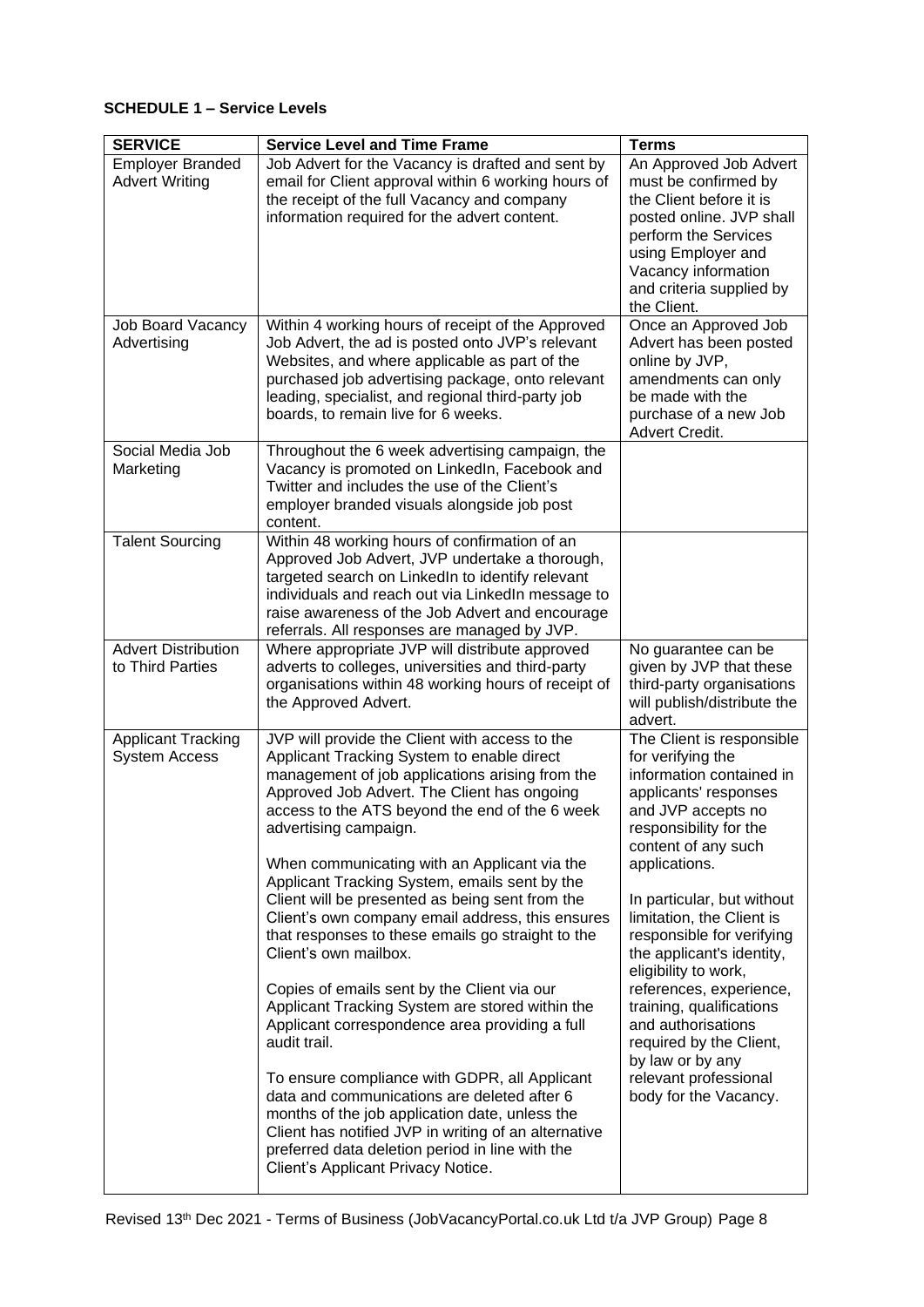# **SCHEDULE 1 – Service Levels**

| <b>SERVICE</b>                                    | <b>Service Level and Time Frame</b>                                                                                                                                                                                                                                                                                                                                                                                                                                                                                                                                                                                                                                                                                                                                                                                                                                                                                                                                                                                                    | <b>Terms</b>                                                                                                                                                                                                                                                                                                                                                                                                                                                                                                           |
|---------------------------------------------------|----------------------------------------------------------------------------------------------------------------------------------------------------------------------------------------------------------------------------------------------------------------------------------------------------------------------------------------------------------------------------------------------------------------------------------------------------------------------------------------------------------------------------------------------------------------------------------------------------------------------------------------------------------------------------------------------------------------------------------------------------------------------------------------------------------------------------------------------------------------------------------------------------------------------------------------------------------------------------------------------------------------------------------------|------------------------------------------------------------------------------------------------------------------------------------------------------------------------------------------------------------------------------------------------------------------------------------------------------------------------------------------------------------------------------------------------------------------------------------------------------------------------------------------------------------------------|
| <b>Employer Branded</b><br><b>Advert Writing</b>  | Job Advert for the Vacancy is drafted and sent by<br>email for Client approval within 6 working hours of<br>the receipt of the full Vacancy and company<br>information required for the advert content.                                                                                                                                                                                                                                                                                                                                                                                                                                                                                                                                                                                                                                                                                                                                                                                                                                | An Approved Job Advert<br>must be confirmed by<br>the Client before it is<br>posted online. JVP shall<br>perform the Services<br>using Employer and<br>Vacancy information<br>and criteria supplied by<br>the Client.                                                                                                                                                                                                                                                                                                  |
| <b>Job Board Vacancy</b><br>Advertising           | Within 4 working hours of receipt of the Approved<br>Job Advert, the ad is posted onto JVP's relevant<br>Websites, and where applicable as part of the<br>purchased job advertising package, onto relevant<br>leading, specialist, and regional third-party job<br>boards, to remain live for 6 weeks.                                                                                                                                                                                                                                                                                                                                                                                                                                                                                                                                                                                                                                                                                                                                 | Once an Approved Job<br>Advert has been posted<br>online by JVP,<br>amendments can only<br>be made with the<br>purchase of a new Job<br>Advert Credit.                                                                                                                                                                                                                                                                                                                                                                 |
| Social Media Job<br>Marketing                     | Throughout the 6 week advertising campaign, the<br>Vacancy is promoted on LinkedIn, Facebook and<br>Twitter and includes the use of the Client's<br>employer branded visuals alongside job post<br>content.                                                                                                                                                                                                                                                                                                                                                                                                                                                                                                                                                                                                                                                                                                                                                                                                                            |                                                                                                                                                                                                                                                                                                                                                                                                                                                                                                                        |
| <b>Talent Sourcing</b>                            | Within 48 working hours of confirmation of an<br>Approved Job Advert, JVP undertake a thorough,<br>targeted search on LinkedIn to identify relevant<br>individuals and reach out via LinkedIn message to<br>raise awareness of the Job Advert and encourage<br>referrals. All responses are managed by JVP.                                                                                                                                                                                                                                                                                                                                                                                                                                                                                                                                                                                                                                                                                                                            |                                                                                                                                                                                                                                                                                                                                                                                                                                                                                                                        |
| <b>Advert Distribution</b><br>to Third Parties    | Where appropriate JVP will distribute approved<br>adverts to colleges, universities and third-party<br>organisations within 48 working hours of receipt of<br>the Approved Advert.                                                                                                                                                                                                                                                                                                                                                                                                                                                                                                                                                                                                                                                                                                                                                                                                                                                     | No guarantee can be<br>given by JVP that these<br>third-party organisations<br>will publish/distribute the<br>advert.                                                                                                                                                                                                                                                                                                                                                                                                  |
| <b>Applicant Tracking</b><br><b>System Access</b> | JVP will provide the Client with access to the<br>Applicant Tracking System to enable direct<br>management of job applications arising from the<br>Approved Job Advert. The Client has ongoing<br>access to the ATS beyond the end of the 6 week<br>advertising campaign.<br>When communicating with an Applicant via the<br>Applicant Tracking System, emails sent by the<br>Client will be presented as being sent from the<br>Client's own company email address, this ensures<br>that responses to these emails go straight to the<br>Client's own mailbox.<br>Copies of emails sent by the Client via our<br>Applicant Tracking System are stored within the<br>Applicant correspondence area providing a full<br>audit trail.<br>To ensure compliance with GDPR, all Applicant<br>data and communications are deleted after 6<br>months of the job application date, unless the<br>Client has notified JVP in writing of an alternative<br>preferred data deletion period in line with the<br>Client's Applicant Privacy Notice. | The Client is responsible<br>for verifying the<br>information contained in<br>applicants' responses<br>and JVP accepts no<br>responsibility for the<br>content of any such<br>applications.<br>In particular, but without<br>limitation, the Client is<br>responsible for verifying<br>the applicant's identity,<br>eligibility to work,<br>references, experience,<br>training, qualifications<br>and authorisations<br>required by the Client,<br>by law or by any<br>relevant professional<br>body for the Vacancy. |